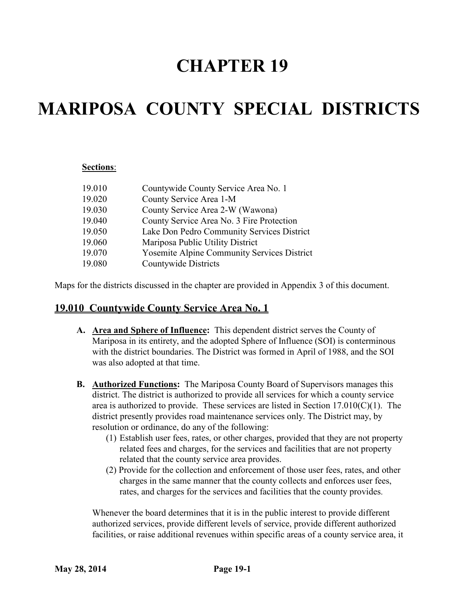## **CHAPTER 19**

# **MARIPOSA COUNTY SPECIAL DISTRICTS**

#### **Sections**:

| 19.010 | Countywide County Service Area No. 1               |
|--------|----------------------------------------------------|
| 19.020 | County Service Area 1-M                            |
| 19.030 | County Service Area 2-W (Wawona)                   |
| 19.040 | County Service Area No. 3 Fire Protection          |
| 19.050 | Lake Don Pedro Community Services District         |
| 19.060 | Mariposa Public Utility District                   |
| 19.070 | <b>Yosemite Alpine Community Services District</b> |
| 19.080 | Countywide Districts                               |
|        |                                                    |

Maps for the districts discussed in the chapter are provided in Appendix 3 of this document.

## **19.010 Countywide County Service Area No. 1**

- **A. Area and Sphere of Influence:** This dependent district serves the County of Mariposa in its entirety, and the adopted Sphere of Influence (SOI) is conterminous with the district boundaries. The District was formed in April of 1988, and the SOI was also adopted at that time.
- **B. Authorized Functions:** The Mariposa County Board of Supervisors manages this district. The district is authorized to provide all services for which a county service area is authorized to provide. These services are listed in Section  $17.010(C)(1)$ . The district presently provides road maintenance services only. The District may, by resolution or ordinance, do any of the following:
	- (1) Establish user fees, rates, or other charges, provided that they are not property related fees and charges, for the services and facilities that are not property related that the county service area provides.
	- (2) Provide for the collection and enforcement of those user fees, rates, and other charges in the same manner that the county collects and enforces user fees, rates, and charges for the services and facilities that the county provides.

Whenever the board determines that it is in the public interest to provide different authorized services, provide different levels of service, provide different authorized facilities, or raise additional revenues within specific areas of a county service area, it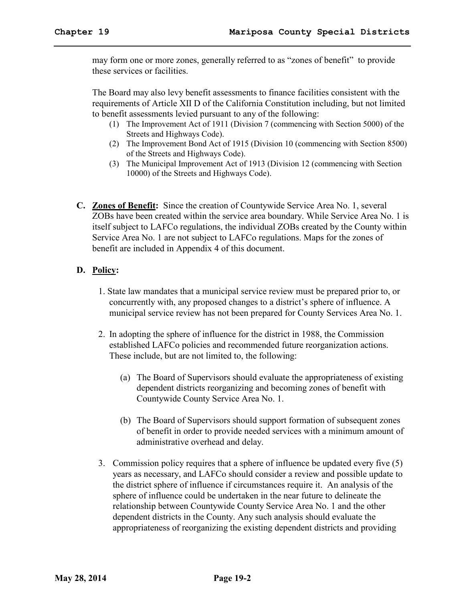may form one or more zones, generally referred to as "zones of benefit" to provide these services or facilities.

The Board may also levy benefit assessments to finance facilities consistent with the requirements of Article XII D of the California Constitution including, but not limited to benefit assessments levied pursuant to any of the following:

- (1) The Improvement Act of 1911 (Division 7 (commencing with Section 5000) of the Streets and Highways Code).
- (2) The Improvement Bond Act of 1915 (Division 10 (commencing with Section 8500) of the Streets and Highways Code).
- (3) The Municipal Improvement Act of 1913 (Division 12 (commencing with Section 10000) of the Streets and Highways Code).
- **C. Zones of Benefit:** Since the creation of Countywide Service Area No. 1, several ZOBs have been created within the service area boundary. While Service Area No. 1 is itself subject to LAFCo regulations, the individual ZOBs created by the County within Service Area No. 1 are not subject to LAFCo regulations. Maps for the zones of benefit are included in Appendix 4 of this document.

#### **D. Policy:**

- 1. State law mandates that a municipal service review must be prepared prior to, or concurrently with, any proposed changes to a district's sphere of influence. A municipal service review has not been prepared for County Services Area No. 1.
- 2. In adopting the sphere of influence for the district in 1988, the Commission established LAFCo policies and recommended future reorganization actions. These include, but are not limited to, the following:
	- (a) The Board of Supervisors should evaluate the appropriateness of existing dependent districts reorganizing and becoming zones of benefit with Countywide County Service Area No. 1.
	- (b) The Board of Supervisors should support formation of subsequent zones of benefit in order to provide needed services with a minimum amount of administrative overhead and delay.
- 3. Commission policy requires that a sphere of influence be updated every five (5) years as necessary, and LAFCo should consider a review and possible update to the district sphere of influence if circumstances require it. An analysis of the sphere of influence could be undertaken in the near future to delineate the relationship between Countywide County Service Area No. 1 and the other dependent districts in the County. Any such analysis should evaluate the appropriateness of reorganizing the existing dependent districts and providing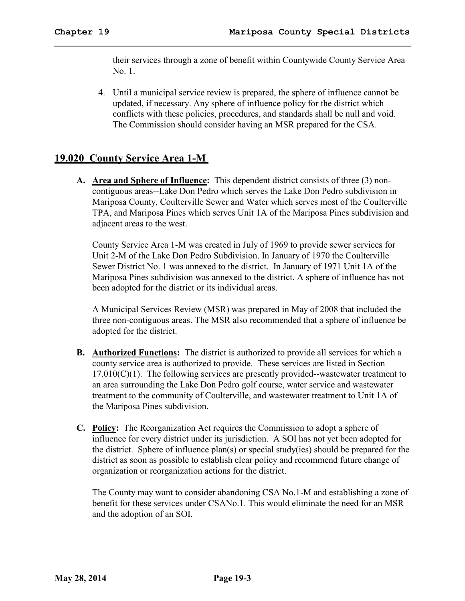their services through a zone of benefit within Countywide County Service Area No. 1.

4. Until a municipal service review is prepared, the sphere of influence cannot be updated, if necessary. Any sphere of influence policy for the district which conflicts with these policies, procedures, and standards shall be null and void. The Commission should consider having an MSR prepared for the CSA.

## **19.020 County Service Area 1-M**

**A. Area and Sphere of Influence:** This dependent district consists of three (3) noncontiguous areas--Lake Don Pedro which serves the Lake Don Pedro subdivision in Mariposa County, Coulterville Sewer and Water which serves most of the Coulterville TPA, and Mariposa Pines which serves Unit 1A of the Mariposa Pines subdivision and adjacent areas to the west.

 County Service Area 1-M was created in July of 1969 to provide sewer services for Unit 2-M of the Lake Don Pedro Subdivision. In January of 1970 the Coulterville Sewer District No. 1 was annexed to the district. In January of 1971 Unit 1A of the Mariposa Pines subdivision was annexed to the district. A sphere of influence has not been adopted for the district or its individual areas.

 A Municipal Services Review (MSR) was prepared in May of 2008 that included the three non-contiguous areas. The MSR also recommended that a sphere of influence be adopted for the district.

- **B. Authorized Functions:** The district is authorized to provide all services for which a county service area is authorized to provide. These services are listed in Section  $17.010(C)(1)$ . The following services are presently provided--wastewater treatment to an area surrounding the Lake Don Pedro golf course, water service and wastewater treatment to the community of Coulterville, and wastewater treatment to Unit 1A of the Mariposa Pines subdivision.
- **C. Policy:** The Reorganization Act requires the Commission to adopt a sphere of influence for every district under its jurisdiction. A SOI has not yet been adopted for the district. Sphere of influence plan(s) or special study(ies) should be prepared for the district as soon as possible to establish clear policy and recommend future change of organization or reorganization actions for the district.

 The County may want to consider abandoning CSA No.1-M and establishing a zone of benefit for these services under CSANo.1. This would eliminate the need for an MSR and the adoption of an SOI.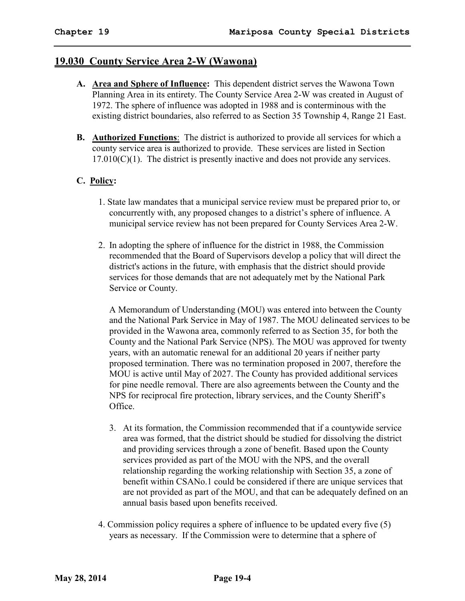## **19.030 County Service Area 2-W (Wawona)**

- **A. Area and Sphere of Influence:** This dependent district serves the Wawona Town Planning Area in its entirety. The County Service Area 2-W was created in August of 1972. The sphere of influence was adopted in 1988 and is conterminous with the existing district boundaries, also referred to as Section 35 Township 4, Range 21 East.
- **B. Authorized Functions**: The district is authorized to provide all services for which a county service area is authorized to provide. These services are listed in Section  $17.010(C)(1)$ . The district is presently inactive and does not provide any services.

## **C. Policy:**

- 1. State law mandates that a municipal service review must be prepared prior to, or concurrently with, any proposed changes to a district's sphere of influence. A municipal service review has not been prepared for County Services Area 2-W.
- 2. In adopting the sphere of influence for the district in 1988, the Commission recommended that the Board of Supervisors develop a policy that will direct the district's actions in the future, with emphasis that the district should provide services for those demands that are not adequately met by the National Park Service or County.

 A Memorandum of Understanding (MOU) was entered into between the County and the National Park Service in May of 1987. The MOU delineated services to be provided in the Wawona area, commonly referred to as Section 35, for both the County and the National Park Service (NPS). The MOU was approved for twenty years, with an automatic renewal for an additional 20 years if neither party proposed termination. There was no termination proposed in 2007, therefore the MOU is active until May of 2027. The County has provided additional services for pine needle removal. There are also agreements between the County and the NPS for reciprocal fire protection, library services, and the County Sheriff's Office.

- 3. At its formation, the Commission recommended that if a countywide service area was formed, that the district should be studied for dissolving the district and providing services through a zone of benefit. Based upon the County services provided as part of the MOU with the NPS, and the overall relationship regarding the working relationship with Section 35, a zone of benefit within CSANo.1 could be considered if there are unique services that are not provided as part of the MOU, and that can be adequately defined on an annual basis based upon benefits received.
- 4. Commission policy requires a sphere of influence to be updated every five (5) years as necessary. If the Commission were to determine that a sphere of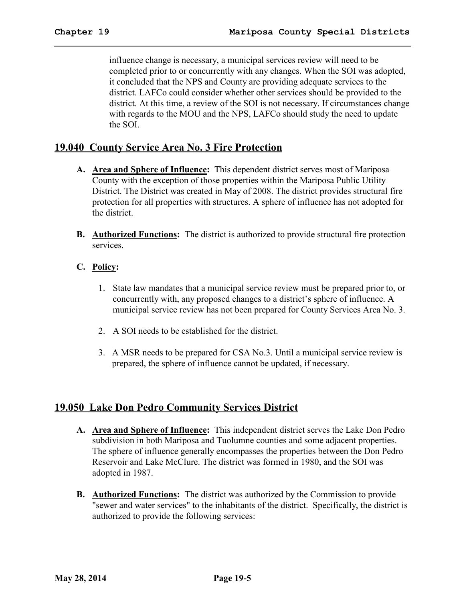influence change is necessary, a municipal services review will need to be completed prior to or concurrently with any changes. When the SOI was adopted, it concluded that the NPS and County are providing adequate services to the district. LAFCo could consider whether other services should be provided to the district. At this time, a review of the SOI is not necessary. If circumstances change with regards to the MOU and the NPS, LAFCo should study the need to update the SOI.

## **19.040 County Service Area No. 3 Fire Protection**

- **A. Area and Sphere of Influence:** This dependent district serves most of Mariposa County with the exception of those properties within the Mariposa Public Utility District. The District was created in May of 2008. The district provides structural fire protection for all properties with structures. A sphere of influence has not adopted for the district.
- **B. Authorized Functions:** The district is authorized to provide structural fire protection services.

#### **C. Policy:**

- 1. State law mandates that a municipal service review must be prepared prior to, or concurrently with, any proposed changes to a district's sphere of influence. A municipal service review has not been prepared for County Services Area No. 3.
- 2. A SOI needs to be established for the district.
- 3. A MSR needs to be prepared for CSA No.3. Until a municipal service review is prepared, the sphere of influence cannot be updated, if necessary.

## **19.050 Lake Don Pedro Community Services District**

- **A. Area and Sphere of Influence:** This independent district serves the Lake Don Pedro subdivision in both Mariposa and Tuolumne counties and some adjacent properties. The sphere of influence generally encompasses the properties between the Don Pedro Reservoir and Lake McClure. The district was formed in 1980, and the SOI was adopted in 1987.
- **B. Authorized Functions:** The district was authorized by the Commission to provide "sewer and water services" to the inhabitants of the district. Specifically, the district is authorized to provide the following services: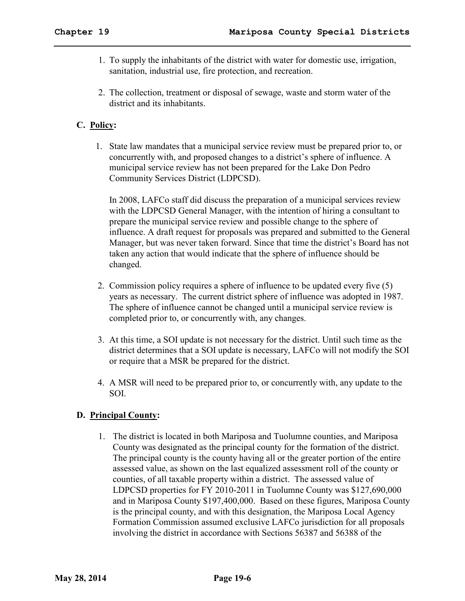- 1. To supply the inhabitants of the district with water for domestic use, irrigation, sanitation, industrial use, fire protection, and recreation.
- 2. The collection, treatment or disposal of sewage, waste and storm water of the district and its inhabitants.

## **C. Policy:**

1. State law mandates that a municipal service review must be prepared prior to, or concurrently with, and proposed changes to a district's sphere of influence. A municipal service review has not been prepared for the Lake Don Pedro Community Services District (LDPCSD).

 In 2008, LAFCo staff did discuss the preparation of a municipal services review with the LDPCSD General Manager, with the intention of hiring a consultant to prepare the municipal service review and possible change to the sphere of influence. A draft request for proposals was prepared and submitted to the General Manager, but was never taken forward. Since that time the district's Board has not taken any action that would indicate that the sphere of influence should be changed.

- 2. Commission policy requires a sphere of influence to be updated every five (5) years as necessary. The current district sphere of influence was adopted in 1987. The sphere of influence cannot be changed until a municipal service review is completed prior to, or concurrently with, any changes.
- 3. At this time, a SOI update is not necessary for the district. Until such time as the district determines that a SOI update is necessary, LAFCo will not modify the SOI or require that a MSR be prepared for the district.
- 4. A MSR will need to be prepared prior to, or concurrently with, any update to the SOI.

## **D. Principal County:**

1. The district is located in both Mariposa and Tuolumne counties, and Mariposa County was designated as the principal county for the formation of the district. The principal county is the county having all or the greater portion of the entire assessed value, as shown on the last equalized assessment roll of the county or counties, of all taxable property within a district. The assessed value of LDPCSD properties for FY 2010-2011 in Tuolumne County was \$127,690,000 and in Mariposa County \$197,400,000. Based on these figures, Mariposa County is the principal county, and with this designation, the Mariposa Local Agency Formation Commission assumed exclusive LAFCo jurisdiction for all proposals involving the district in accordance with Sections 56387 and 56388 of the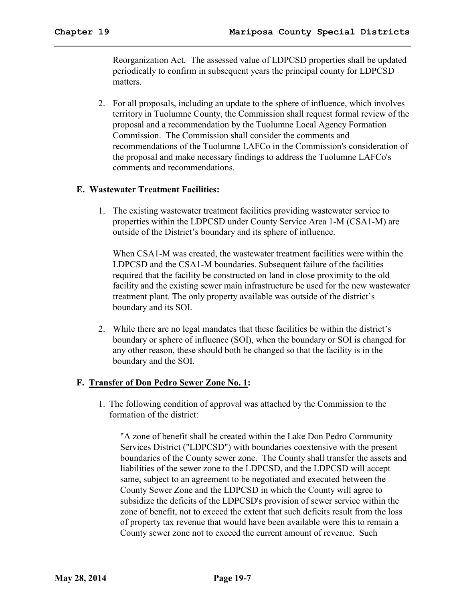Reorganization Act. The assessed value of LDPCSD properties shall be updated periodically to confirm in subsequent years the principal county for LDPCSD matters.

2. For all proposals, including an update to the sphere of influence, which involves territory in Tuolumne County, the Commission shall request formal review of the proposal and a recommendation by the Tuolumne Local Agency Formation Commission. The Commission shall consider the comments and recommendations of the Tuolumne LAFCo in the Commission's consideration of the proposal and make necessary findings to address the Tuolumne LAFCo's comments and recommendations.

## **E. Wastewater Treatment Facilities:**

1. The existing wastewater treatment facilities providing wastewater service to properties within the LDPCSD under County Service Area 1-M (CSA1-M) are outside of the District's boundary and its sphere of influence.

 When CSA1-M was created, the wastewater treatment facilities were within the LDPCSD and the CSA1-M boundaries. Subsequent failure of the facilities required that the facility be constructed on land in close proximity to the old facility and the existing sewer main infrastructure be used for the new wastewater treatment plant. The only property available was outside of the district's boundary and its SOI.

2. While there are no legal mandates that these facilities be within the district's boundary or sphere of influence (SOI), when the boundary or SOI is changed for any other reason, these should both be changed so that the facility is in the boundary and the SOI.

## **F. Transfer of Don Pedro Sewer Zone No. 1:**

1. The following condition of approval was attached by the Commission to the formation of the district:

"A zone of benefit shall be created within the Lake Don Pedro Community Services District ("LDPCSD") with boundaries coextensive with the present boundaries of the County sewer zone. The County shall transfer the assets and liabilities of the sewer zone to the LDPCSD, and the LDPCSD will accept same, subject to an agreement to be negotiated and executed between the County Sewer Zone and the LDPCSD in which the County will agree to subsidize the deficits of the LDPCSD's provision of sewer service within the zone of benefit, not to exceed the extent that such deficits result from the loss of property tax revenue that would have been available were this to remain a County sewer zone not to exceed the current amount of revenue. Such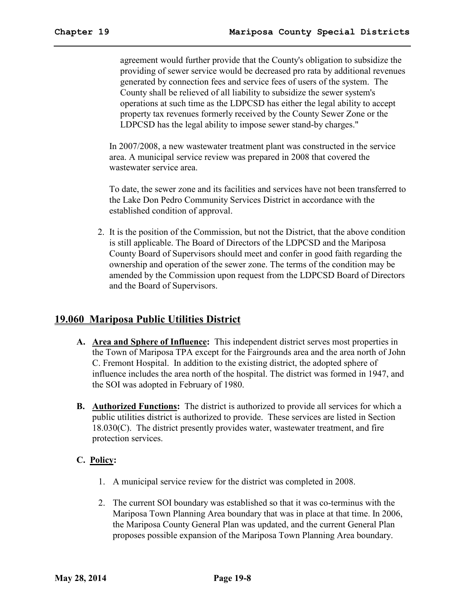agreement would further provide that the County's obligation to subsidize the providing of sewer service would be decreased pro rata by additional revenues generated by connection fees and service fees of users of the system. The County shall be relieved of all liability to subsidize the sewer system's operations at such time as the LDPCSD has either the legal ability to accept property tax revenues formerly received by the County Sewer Zone or the LDPCSD has the legal ability to impose sewer stand-by charges."

In 2007/2008, a new wastewater treatment plant was constructed in the service area. A municipal service review was prepared in 2008 that covered the wastewater service area.

To date, the sewer zone and its facilities and services have not been transferred to the Lake Don Pedro Community Services District in accordance with the established condition of approval.

2. It is the position of the Commission, but not the District, that the above condition is still applicable. The Board of Directors of the LDPCSD and the Mariposa County Board of Supervisors should meet and confer in good faith regarding the ownership and operation of the sewer zone. The terms of the condition may be amended by the Commission upon request from the LDPCSD Board of Directors and the Board of Supervisors.

## **19.060 Mariposa Public Utilities District**

- **A. Area and Sphere of Influence:** This independent district serves most properties in the Town of Mariposa TPA except for the Fairgrounds area and the area north of John C. Fremont Hospital. In addition to the existing district, the adopted sphere of influence includes the area north of the hospital. The district was formed in 1947, and the SOI was adopted in February of 1980.
- **B. Authorized Functions:** The district is authorized to provide all services for which a public utilities district is authorized to provide. These services are listed in Section 18.030(C). The district presently provides water, wastewater treatment, and fire protection services.

## **C. Policy:**

- 1. A municipal service review for the district was completed in 2008.
- 2. The current SOI boundary was established so that it was co-terminus with the Mariposa Town Planning Area boundary that was in place at that time. In 2006, the Mariposa County General Plan was updated, and the current General Plan proposes possible expansion of the Mariposa Town Planning Area boundary.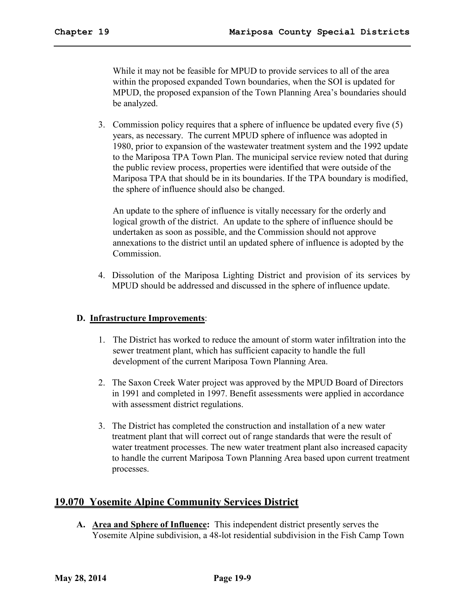While it may not be feasible for MPUD to provide services to all of the area within the proposed expanded Town boundaries, when the SOI is updated for MPUD, the proposed expansion of the Town Planning Area's boundaries should be analyzed.

3. Commission policy requires that a sphere of influence be updated every five (5) years, as necessary. The current MPUD sphere of influence was adopted in 1980, prior to expansion of the wastewater treatment system and the 1992 update to the Mariposa TPA Town Plan. The municipal service review noted that during the public review process, properties were identified that were outside of the Mariposa TPA that should be in its boundaries. If the TPA boundary is modified, the sphere of influence should also be changed.

 An update to the sphere of influence is vitally necessary for the orderly and logical growth of the district. An update to the sphere of influence should be undertaken as soon as possible, and the Commission should not approve annexations to the district until an updated sphere of influence is adopted by the Commission.

4. Dissolution of the Mariposa Lighting District and provision of its services by MPUD should be addressed and discussed in the sphere of influence update.

## **D. Infrastructure Improvements**:

- 1. The District has worked to reduce the amount of storm water infiltration into the sewer treatment plant, which has sufficient capacity to handle the full development of the current Mariposa Town Planning Area.
- 2. The Saxon Creek Water project was approved by the MPUD Board of Directors in 1991 and completed in 1997. Benefit assessments were applied in accordance with assessment district regulations.
- 3. The District has completed the construction and installation of a new water treatment plant that will correct out of range standards that were the result of water treatment processes. The new water treatment plant also increased capacity to handle the current Mariposa Town Planning Area based upon current treatment processes.

## **19.070 Yosemite Alpine Community Services District**

**A. Area and Sphere of Influence:** This independent district presently serves the Yosemite Alpine subdivision, a 48-lot residential subdivision in the Fish Camp Town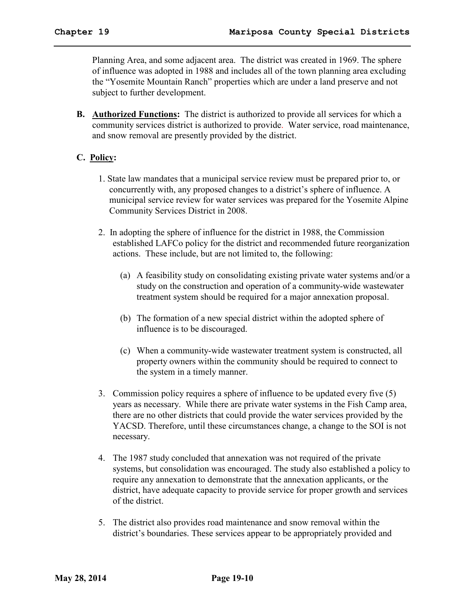Planning Area, and some adjacent area. The district was created in 1969. The sphere of influence was adopted in 1988 and includes all of the town planning area excluding the "Yosemite Mountain Ranch" properties which are under a land preserve and not subject to further development.

**B. Authorized Functions:** The district is authorized to provide all services for which a community services district is authorized to provide. Water service, road maintenance, and snow removal are presently provided by the district.

#### **C. Policy:**

- 1. State law mandates that a municipal service review must be prepared prior to, or concurrently with, any proposed changes to a district's sphere of influence. A municipal service review for water services was prepared for the Yosemite Alpine Community Services District in 2008.
- 2. In adopting the sphere of influence for the district in 1988, the Commission established LAFCo policy for the district and recommended future reorganization actions. These include, but are not limited to, the following:
	- (a) A feasibility study on consolidating existing private water systems and/or a study on the construction and operation of a community-wide wastewater treatment system should be required for a major annexation proposal.
	- (b) The formation of a new special district within the adopted sphere of influence is to be discouraged.
	- (c) When a community-wide wastewater treatment system is constructed, all property owners within the community should be required to connect to the system in a timely manner.
- 3. Commission policy requires a sphere of influence to be updated every five (5) years as necessary. While there are private water systems in the Fish Camp area, there are no other districts that could provide the water services provided by the YACSD. Therefore, until these circumstances change, a change to the SOI is not necessary.
- 4. The 1987 study concluded that annexation was not required of the private systems, but consolidation was encouraged. The study also established a policy to require any annexation to demonstrate that the annexation applicants, or the district, have adequate capacity to provide service for proper growth and services of the district.
- 5. The district also provides road maintenance and snow removal within the district's boundaries. These services appear to be appropriately provided and